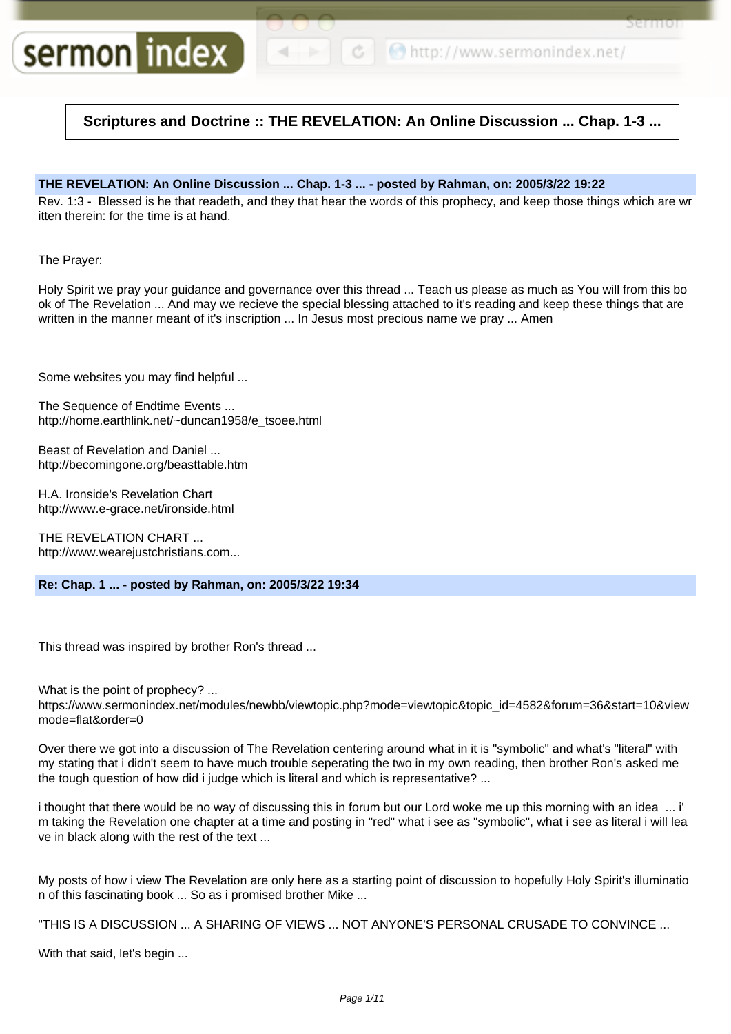```
C http://www.sermonindex.net/
```
# **THE REVELATION: An Online Discussion ... Chap. 1-3 ... - posted by Rahman, on: 2005/3/22 19:22**

Rev. 1:3 - Blessed is he that readeth, and they that hear the words of this prophecy, and keep those things which are wr itten therein: for the time is at hand.

The Prayer:

Holy Spirit we pray your guidance and governance over this thread ... Teach us please as much as You will from this bo ok of The Revelation ... And may we recieve the special blessing attached to it's reading and keep these things that are written in the manner meant of it's inscription ... In Jesus most precious name we pray ... Amen

Some websites you may find helpful ...

sermon index

The Sequence of Endtime Events ... http://home.earthlink.net/~duncan1958/e\_tsoee.html

Beast of Revelation and Daniel ... http://becomingone.org/beasttable.htm

H.A. Ironside's Revelation Chart http://www.e-grace.net/ironside.html

THE REVELATION CHART ... http://www.wearejustchristians.com...

**Re: Chap. 1 ... - posted by Rahman, on: 2005/3/22 19:34**

This thread was inspired by brother Ron's thread ...

What is the point of prophecy? ...

https://www.sermonindex.net/modules/newbb/viewtopic.php?mode=viewtopic&topic\_id=4582&forum=36&start=10&view mode=flat&order=0

Over there we got into a discussion of The Revelation centering around what in it is "symbolic" and what's "literal" with my stating that i didn't seem to have much trouble seperating the two in my own reading, then brother Ron's asked me the tough question of how did i judge which is literal and which is representative? ...

i thought that there would be no way of discussing this in forum but our Lord woke me up this morning with an idea ... i' m taking the Revelation one chapter at a time and posting in "red" what i see as "symbolic", what i see as literal i will lea ve in black along with the rest of the text ...

My posts of how i view The Revelation are only here as a starting point of discussion to hopefully Holy Spirit's illuminatio n of this fascinating book ... So as i promised brother Mike ...

"THIS IS A DISCUSSION ... A SHARING OF VIEWS ... NOT ANYONE'S PERSONAL CRUSADE TO CONVINCE ...

With that said, let's begin ...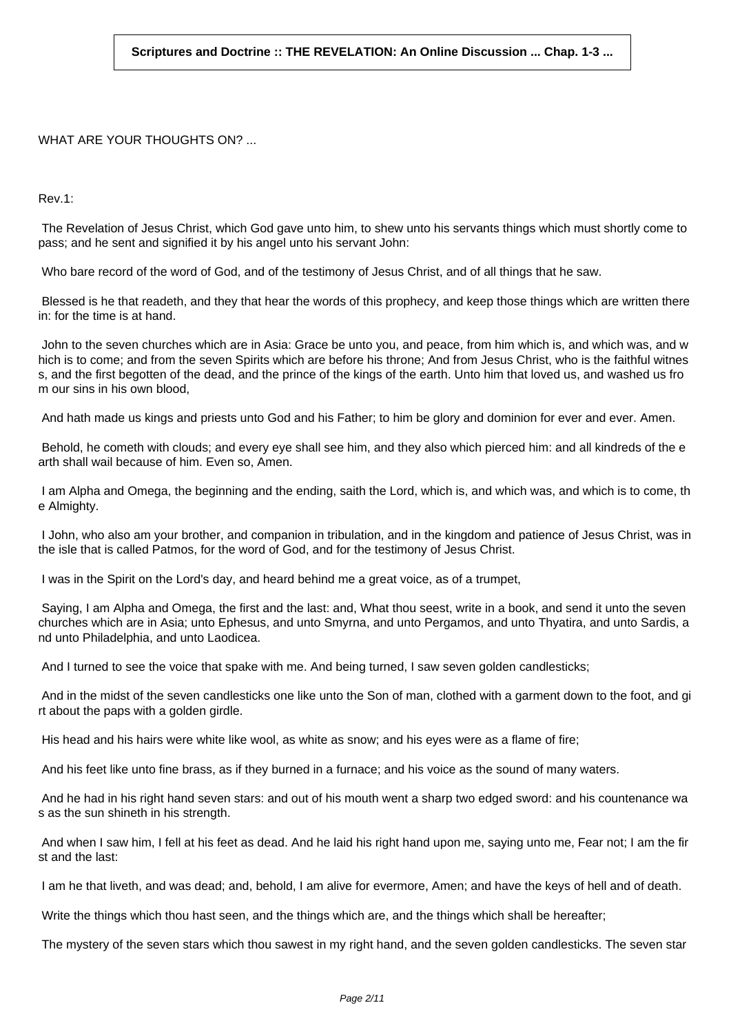WHAT ARE YOUR THOUGHTS ON? ...

Rev.1:

The Revelation of Jesus Christ, which God gave unto him, to shew unto his servants things which must shortly come to pass; and he sent and signified it by his angel unto his servant John:

Who bare record of the word of God, and of the testimony of Jesus Christ, and of all things that he saw.

Blessed is he that readeth, and they that hear the words of this prophecy, and keep those things which are written there in: for the time is at hand.

John to the seven churches which are in Asia: Grace be unto you, and peace, from him which is, and which was, and w hich is to come; and from the seven Spirits which are before his throne; And from Jesus Christ, who is the faithful witnes s, and the first begotten of the dead, and the prince of the kings of the earth. Unto him that loved us, and washed us fro m our sins in his own blood,

And hath made us kings and priests unto God and his Father; to him be glory and dominion for ever and ever. Amen.

Behold, he cometh with clouds; and every eye shall see him, and they also which pierced him: and all kindreds of the e arth shall wail because of him. Even so, Amen.

I am Alpha and Omega, the beginning and the ending, saith the Lord, which is, and which was, and which is to come, th e Almighty.

I John, who also am your brother, and companion in tribulation, and in the kingdom and patience of Jesus Christ, was in the isle that is called Patmos, for the word of God, and for the testimony of Jesus Christ.

I was in the Spirit on the Lord's day, and heard behind me a great voice, as of a trumpet,

Saying, I am Alpha and Omega, the first and the last: and, What thou seest, write in a book, and send it unto the seven churches which are in Asia; unto Ephesus, and unto Smyrna, and unto Pergamos, and unto Thyatira, and unto Sardis, a nd unto Philadelphia, and unto Laodicea.

And I turned to see the voice that spake with me. And being turned, I saw seven golden candlesticks;

And in the midst of the seven candlesticks one like unto the Son of man, clothed with a garment down to the foot, and gi rt about the paps with a golden girdle.

His head and his hairs were white like wool, as white as snow; and his eyes were as a flame of fire;

And his feet like unto fine brass, as if they burned in a furnace; and his voice as the sound of many waters.

And he had in his right hand seven stars: and out of his mouth went a sharp two edged sword: and his countenance wa s as the sun shineth in his strength.

And when I saw him, I fell at his feet as dead. And he laid his right hand upon me, saying unto me, Fear not; I am the fir st and the last:

I am he that liveth, and was dead; and, behold, I am alive for evermore, Amen; and have the keys of hell and of death.

Write the things which thou hast seen, and the things which are, and the things which shall be hereafter;

The mystery of the seven stars which thou sawest in my right hand, and the seven golden candlesticks. The seven star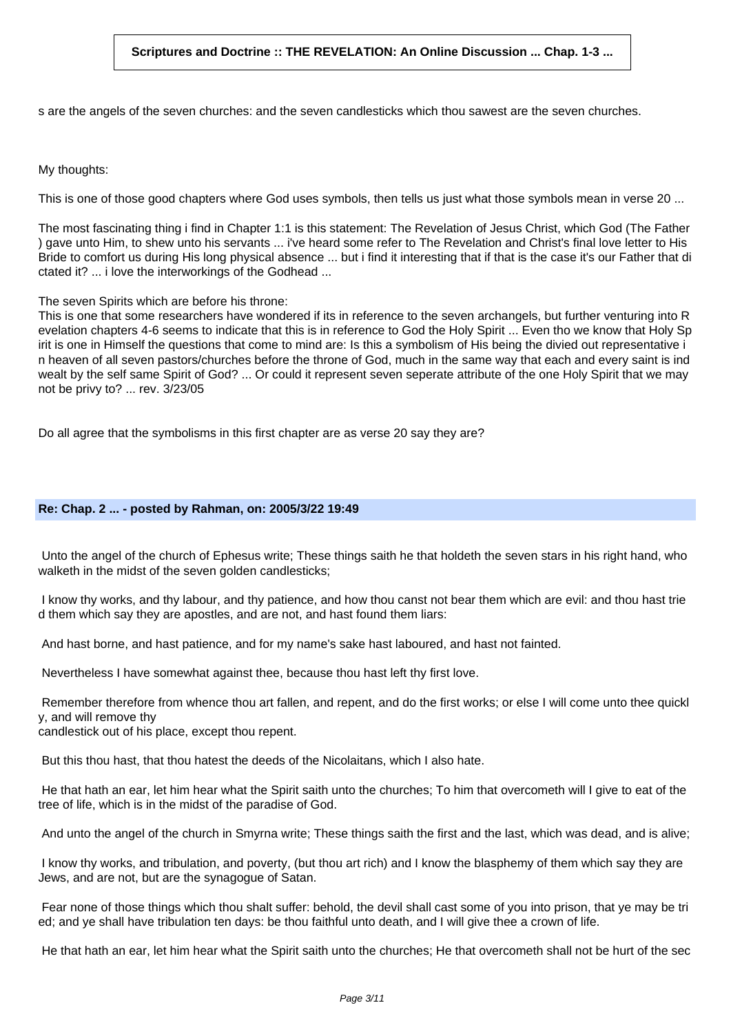s are the angels of the seven churches: and the seven candlesticks which thou sawest are the seven churches.

My thoughts:

This is one of those good chapters where God uses symbols, then tells us just what those symbols mean in verse 20 ...

The most fascinating thing i find in Chapter 1:1 is this statement: The Revelation of Jesus Christ, which God (The Father ) gave unto Him, to shew unto his servants ... i've heard some refer to The Revelation and Christ's final love letter to His Bride to comfort us during His long physical absence ... but i find it interesting that if that is the case it's our Father that di ctated it? ... i love the interworkings of the Godhead ...

The seven Spirits which are before his throne:

This is one that some researchers have wondered if its in reference to the seven archangels, but further venturing into R evelation chapters 4-6 seems to indicate that this is in reference to God the Holy Spirit ... Even tho we know that Holy Sp irit is one in Himself the questions that come to mind are: Is this a symbolism of His being the divied out representative i n heaven of all seven pastors/churches before the throne of God, much in the same way that each and every saint is ind wealt by the self same Spirit of God? ... Or could it represent seven seperate attribute of the one Holy Spirit that we may not be privy to? ... rev. 3/23/05

Do all agree that the symbolisms in this first chapter are as verse 20 say they are?

#### **Re: Chap. 2 ... - posted by Rahman, on: 2005/3/22 19:49**

Unto the angel of the church of Ephesus write; These things saith he that holdeth the seven stars in his right hand, who walketh in the midst of the seven golden candlesticks;

I know thy works, and thy labour, and thy patience, and how thou canst not bear them which are evil: and thou hast trie d them which say they are apostles, and are not, and hast found them liars:

And hast borne, and hast patience, and for my name's sake hast laboured, and hast not fainted.

Nevertheless I have somewhat against thee, because thou hast left thy first love.

Remember therefore from whence thou art fallen, and repent, and do the first works; or else I will come unto thee quickl y, and will remove thy

candlestick out of his place, except thou repent.

But this thou hast, that thou hatest the deeds of the Nicolaitans, which I also hate.

He that hath an ear, let him hear what the Spirit saith unto the churches; To him that overcometh will I give to eat of the tree of life, which is in the midst of the paradise of God.

And unto the angel of the church in Smyrna write; These things saith the first and the last, which was dead, and is alive;

I know thy works, and tribulation, and poverty, (but thou art rich) and I know the blasphemy of them which say they are Jews, and are not, but are the synagogue of Satan.

Fear none of those things which thou shalt suffer: behold, the devil shall cast some of you into prison, that ye may be tri ed; and ye shall have tribulation ten days: be thou faithful unto death, and I will give thee a crown of life.

He that hath an ear, let him hear what the Spirit saith unto the churches; He that overcometh shall not be hurt of the sec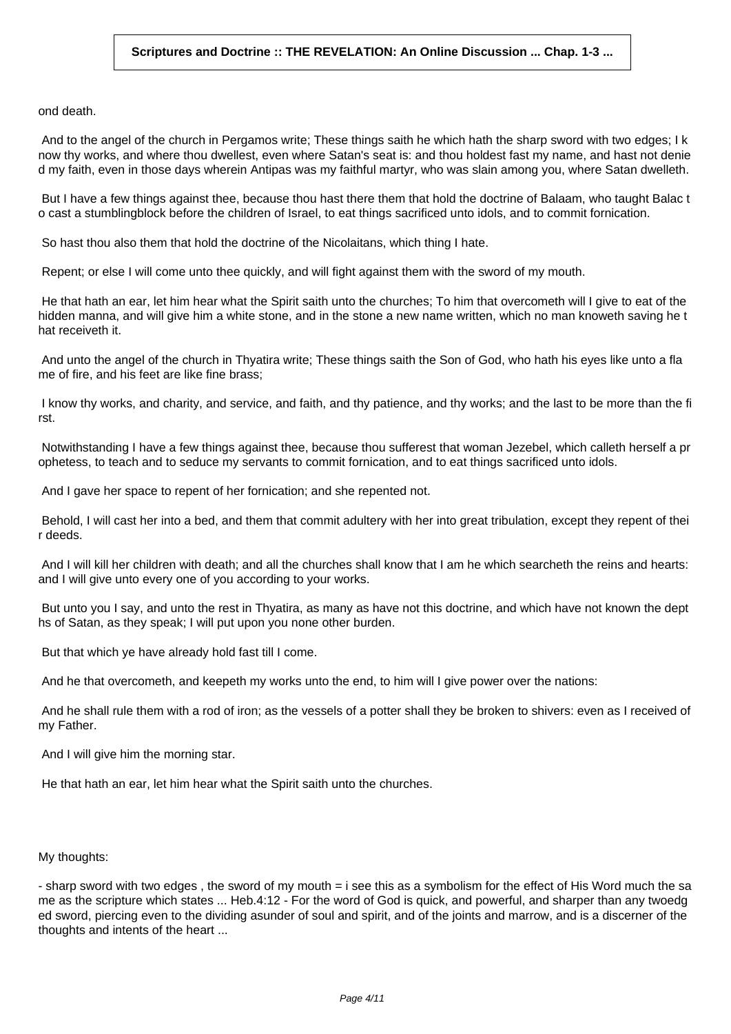ond death.

And to the angel of the church in Pergamos write; These things saith he which hath the sharp sword with two edges; I k now thy works, and where thou dwellest, even where Satan's seat is: and thou holdest fast my name, and hast not denie d my faith, even in those days wherein Antipas was my faithful martyr, who was slain among you, where Satan dwelleth.

But I have a few things against thee, because thou hast there them that hold the doctrine of Balaam, who taught Balac t o cast a stumblingblock before the children of Israel, to eat things sacrificed unto idols, and to commit fornication.

So hast thou also them that hold the doctrine of the Nicolaitans, which thing I hate.

Repent; or else I will come unto thee quickly, and will fight against them with the sword of my mouth.

He that hath an ear, let him hear what the Spirit saith unto the churches; To him that overcometh will I give to eat of the hidden manna, and will give him a white stone, and in the stone a new name written, which no man knoweth saving he t hat receiveth it.

And unto the angel of the church in Thyatira write; These things saith the Son of God, who hath his eyes like unto a fla me of fire, and his feet are like fine brass;

I know thy works, and charity, and service, and faith, and thy patience, and thy works; and the last to be more than the fi rst.

Notwithstanding I have a few things against thee, because thou sufferest that woman Jezebel, which calleth herself a pr ophetess, to teach and to seduce my servants to commit fornication, and to eat things sacrificed unto idols.

And I gave her space to repent of her fornication; and she repented not.

Behold, I will cast her into a bed, and them that commit adultery with her into great tribulation, except they repent of thei r deeds.

And I will kill her children with death; and all the churches shall know that I am he which searcheth the reins and hearts: and I will give unto every one of you according to your works.

But unto you I say, and unto the rest in Thyatira, as many as have not this doctrine, and which have not known the dept hs of Satan, as they speak; I will put upon you none other burden.

But that which ye have already hold fast till I come.

And he that overcometh, and keepeth my works unto the end, to him will I give power over the nations:

And he shall rule them with a rod of iron; as the vessels of a potter shall they be broken to shivers: even as I received of my Father.

And I will give him the morning star.

He that hath an ear, let him hear what the Spirit saith unto the churches.

#### My thoughts:

- sharp sword with two edges , the sword of my mouth = i see this as a symbolism for the effect of His Word much the sa me as the scripture which states ... Heb.4:12 - For the word of God is quick, and powerful, and sharper than any twoedg ed sword, piercing even to the dividing asunder of soul and spirit, and of the joints and marrow, and is a discerner of the thoughts and intents of the heart ...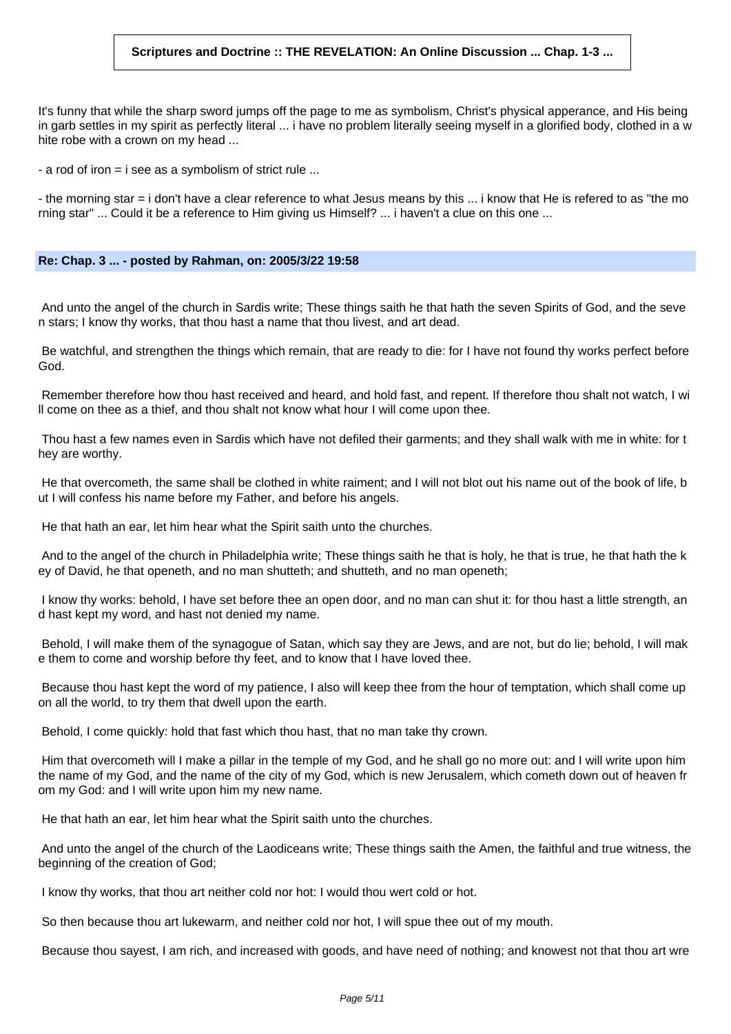It's funny that while the sharp sword jumps off the page to me as symbolism, Christ's physical apperance, and His being in garb settles in my spirit as perfectly literal ... i have no problem literally seeing myself in a glorified body, clothed in a w hite robe with a crown on my head ...

- a rod of iron = i see as a symbolism of strict rule ...

- the morning star = i don't have a clear reference to what Jesus means by this ... i know that He is refered to as "the mo rning star" ... Could it be a reference to Him giving us Himself? ... i haven't a clue on this one ...

#### **Re: Chap. 3 ... - posted by Rahman, on: 2005/3/22 19:58**

And unto the angel of the church in Sardis write; These things saith he that hath the seven Spirits of God, and the seve n stars; I know thy works, that thou hast a name that thou livest, and art dead.

Be watchful, and strengthen the things which remain, that are ready to die: for I have not found thy works perfect before God.

Remember therefore how thou hast received and heard, and hold fast, and repent. If therefore thou shalt not watch, I wi ll come on thee as a thief, and thou shalt not know what hour I will come upon thee.

Thou hast a few names even in Sardis which have not defiled their garments; and they shall walk with me in white: for t hey are worthy.

He that overcometh, the same shall be clothed in white raiment; and I will not blot out his name out of the book of life, b ut I will confess his name before my Father, and before his angels.

He that hath an ear, let him hear what the Spirit saith unto the churches.

And to the angel of the church in Philadelphia write; These things saith he that is holy, he that is true, he that hath the k ey of David, he that openeth, and no man shutteth; and shutteth, and no man openeth;

I know thy works: behold, I have set before thee an open door, and no man can shut it: for thou hast a little strength, an d hast kept my word, and hast not denied my name.

Behold, I will make them of the synagogue of Satan, which say they are Jews, and are not, but do lie; behold, I will mak e them to come and worship before thy feet, and to know that I have loved thee.

Because thou hast kept the word of my patience, I also will keep thee from the hour of temptation, which shall come up on all the world, to try them that dwell upon the earth.

Behold, I come quickly: hold that fast which thou hast, that no man take thy crown.

Him that overcometh will I make a pillar in the temple of my God, and he shall go no more out: and I will write upon him the name of my God, and the name of the city of my God, which is new Jerusalem, which cometh down out of heaven fr om my God: and I will write upon him my new name.

He that hath an ear, let him hear what the Spirit saith unto the churches.

And unto the angel of the church of the Laodiceans write; These things saith the Amen, the faithful and true witness, the beginning of the creation of God;

I know thy works, that thou art neither cold nor hot: I would thou wert cold or hot.

So then because thou art lukewarm, and neither cold nor hot, I will spue thee out of my mouth.

Because thou sayest, I am rich, and increased with goods, and have need of nothing; and knowest not that thou art wre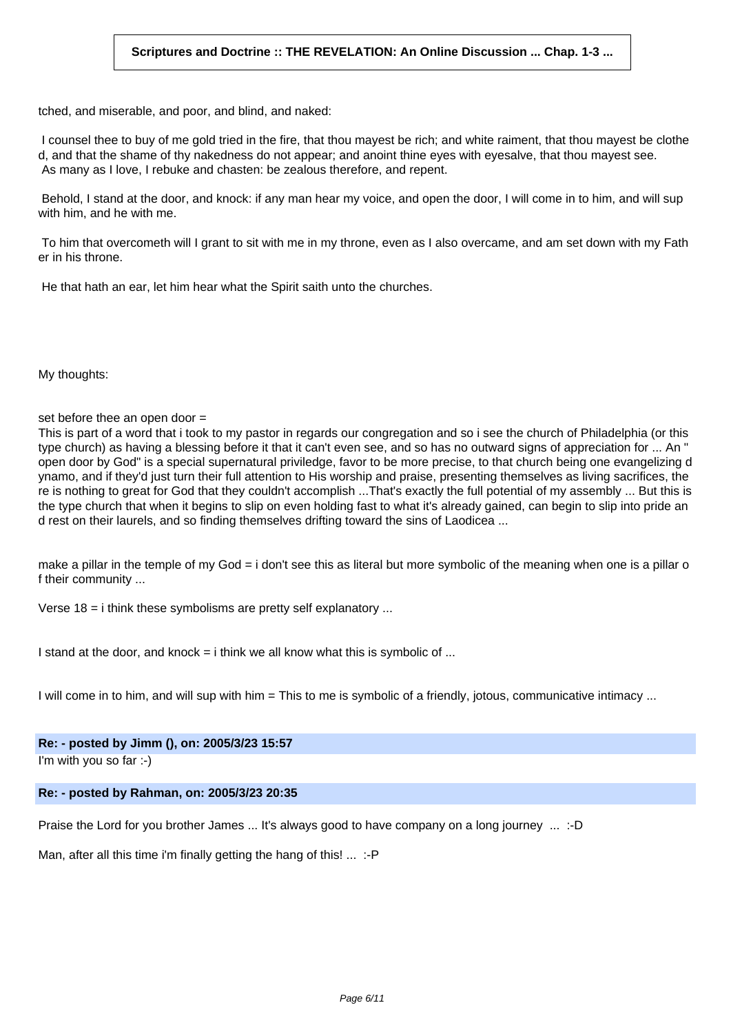tched, and miserable, and poor, and blind, and naked:

I counsel thee to buy of me gold tried in the fire, that thou mayest be rich; and white raiment, that thou mayest be clothe d, and that the shame of thy nakedness do not appear; and anoint thine eyes with eyesalve, that thou mayest see. As many as I love, I rebuke and chasten: be zealous therefore, and repent.

Behold, I stand at the door, and knock: if any man hear my voice, and open the door, I will come in to him, and will sup with him, and he with me.

To him that overcometh will I grant to sit with me in my throne, even as I also overcame, and am set down with my Fath er in his throne.

He that hath an ear, let him hear what the Spirit saith unto the churches.

My thoughts:

set before thee an open door =

This is part of a word that i took to my pastor in regards our congregation and so i see the church of Philadelphia (or this type church) as having a blessing before it that it can't even see, and so has no outward signs of appreciation for ... An " open door by God" is a special supernatural priviledge, favor to be more precise, to that church being one evangelizing d ynamo, and if they'd just turn their full attention to His worship and praise, presenting themselves as living sacrifices, the re is nothing to great for God that they couldn't accomplish ...That's exactly the full potential of my assembly ... But this is the type church that when it begins to slip on even holding fast to what it's already gained, can begin to slip into pride an d rest on their laurels, and so finding themselves drifting toward the sins of Laodicea ...

make a pillar in the temple of my God = i don't see this as literal but more symbolic of the meaning when one is a pillar o f their community ...

Verse 18 = i think these symbolisms are pretty self explanatory ...

I stand at the door, and knock  $=$  i think we all know what this is symbolic of ...

I will come in to him, and will sup with him = This to me is symbolic of a friendly, jotous, communicative intimacy ...

#### **Re: - posted by Jimm (), on: 2005/3/23 15:57**

I'm with you so far :-)

**Re: - posted by Rahman, on: 2005/3/23 20:35**

Praise the Lord for you brother James ... It's always good to have company on a long journey ... :-D

Man, after all this time i'm finally getting the hang of this! ... :-P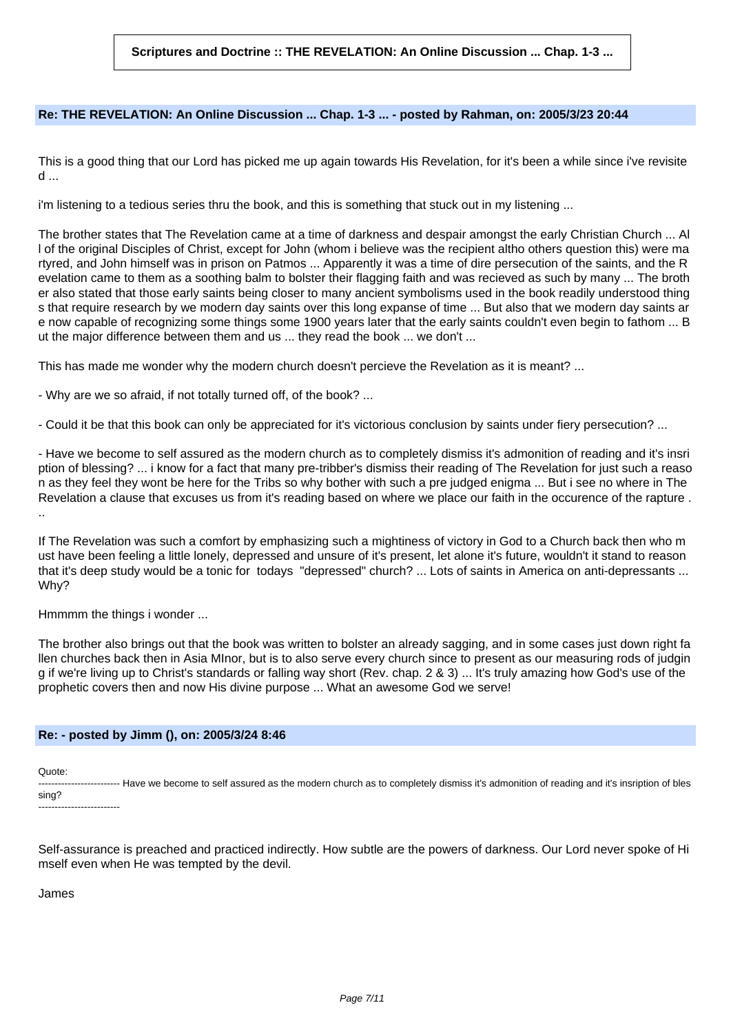# **Re: THE REVELATION: An Online Discussion ... Chap. 1-3 ... - posted by Rahman, on: 2005/3/23 20:44**

This is a good thing that our Lord has picked me up again towards His Revelation, for it's been a while since i've revisite d ...

i'm listening to a tedious series thru the book, and this is something that stuck out in my listening ...

The brother states that The Revelation came at a time of darkness and despair amongst the early Christian Church ... Al l of the original Disciples of Christ, except for John (whom i believe was the recipient altho others question this) were ma rtyred, and John himself was in prison on Patmos ... Apparently it was a time of dire persecution of the saints, and the R evelation came to them as a soothing balm to bolster their flagging faith and was recieved as such by many ... The broth er also stated that those early saints being closer to many ancient symbolisms used in the book readily understood thing s that require research by we modern day saints over this long expanse of time ... But also that we modern day saints ar e now capable of recognizing some things some 1900 years later that the early saints couldn't even begin to fathom ... B ut the major difference between them and us ... they read the book ... we don't ...

This has made me wonder why the modern church doesn't percieve the Revelation as it is meant? ...

- Why are we so afraid, if not totally turned off, of the book? ...

- Could it be that this book can only be appreciated for it's victorious conclusion by saints under fiery persecution? ...

- Have we become to self assured as the modern church as to completely dismiss it's admonition of reading and it's insri ption of blessing? ... i know for a fact that many pre-tribber's dismiss their reading of The Revelation for just such a reaso n as they feel they wont be here for the Tribs so why bother with such a pre judged enigma ... But i see no where in The Revelation a clause that excuses us from it's reading based on where we place our faith in the occurence of the rapture . ..

If The Revelation was such a comfort by emphasizing such a mightiness of victory in God to a Church back then who m ust have been feeling a little lonely, depressed and unsure of it's present, let alone it's future, wouldn't it stand to reason that it's deep study would be a tonic for todays "depressed" church? ... Lots of saints in America on anti-depressants ... Why?

Hmmmm the things i wonder ...

The brother also brings out that the book was written to bolster an already sagging, and in some cases just down right fa llen churches back then in Asia MInor, but is to also serve every church since to present as our measuring rods of judgin g if we're living up to Christ's standards or falling way short (Rev. chap. 2 & 3) ... It's truly amazing how God's use of the prophetic covers then and now His divine purpose ... What an awesome God we serve!

#### **Re: - posted by Jimm (), on: 2005/3/24 8:46**

Quote:

----------- Have we become to self assured as the modern church as to completely dismiss it's admonition of reading and it's insription of bles sing? -------------------------

Self-assurance is preached and practiced indirectly. How subtle are the powers of darkness. Our Lord never spoke of Hi mself even when He was tempted by the devil.

James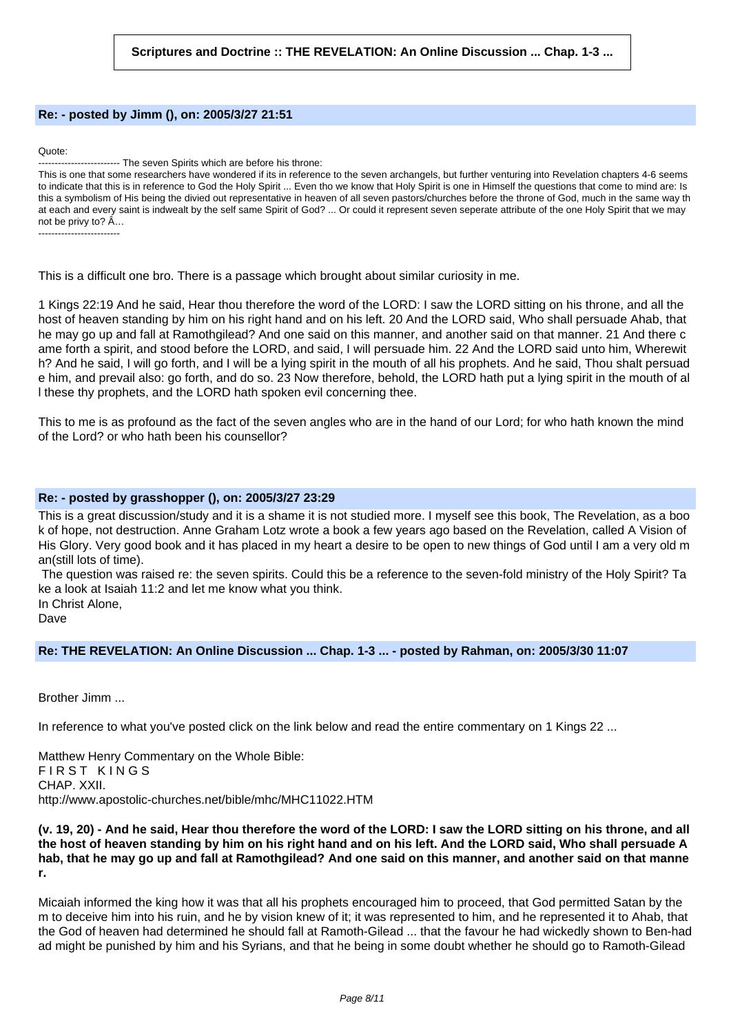#### **Re: - posted by Jimm (), on: 2005/3/27 21:51**

#### Quote:

---------- The seven Spirits which are before his throne:

This is one that some researchers have wondered if its in reference to the seven archangels, but further venturing into Revelation chapters 4-6 seems to indicate that this is in reference to God the Holy Spirit ... Even tho we know that Holy Spirit is one in Himself the questions that come to mind are: Is this a symbolism of His being the divied out representative in heaven of all seven pastors/churches before the throne of God, much in the same way th at each and every saint is indwealt by the self same Spirit of God? ... Or could it represent seven seperate attribute of the one Holy Spirit that we may not be privy to? Â… -------------------------

This is a difficult one bro. There is a passage which brought about similar curiosity in me.

1 Kings 22:19 And he said, Hear thou therefore the word of the LORD: I saw the LORD sitting on his throne, and all the host of heaven standing by him on his right hand and on his left. 20 And the LORD said, Who shall persuade Ahab, that he may go up and fall at Ramothgilead? And one said on this manner, and another said on that manner. 21 And there c ame forth a spirit, and stood before the LORD, and said, I will persuade him. 22 And the LORD said unto him, Wherewit h? And he said, I will go forth, and I will be a lying spirit in the mouth of all his prophets. And he said, Thou shalt persuad e him, and prevail also: go forth, and do so. 23 Now therefore, behold, the LORD hath put a lying spirit in the mouth of al l these thy prophets, and the LORD hath spoken evil concerning thee.

This to me is as profound as the fact of the seven angles who are in the hand of our Lord; for who hath known the mind of the Lord? or who hath been his counsellor?

#### **Re: - posted by grasshopper (), on: 2005/3/27 23:29**

This is a great discussion/study and it is a shame it is not studied more. I myself see this book, The Revelation, as a boo k of hope, not destruction. Anne Graham Lotz wrote a book a few years ago based on the Revelation, called A Vision of His Glory. Very good book and it has placed in my heart a desire to be open to new things of God until I am a very old m an(still lots of time).

The question was raised re: the seven spirits. Could this be a reference to the seven-fold ministry of the Holy Spirit? Ta ke a look at Isaiah 11:2 and let me know what you think. In Christ Alone,

**Dave** 

**Re: THE REVELATION: An Online Discussion ... Chap. 1-3 ... - posted by Rahman, on: 2005/3/30 11:07**

Brother Jimm ...

In reference to what you've posted click on the link below and read the entire commentary on 1 Kings 22 ...

Matthew Henry Commentary on the Whole Bible: FIRST KINGS CHAP. XXII. http://www.apostolic-churches.net/bible/mhc/MHC11022.HTM

(v. 19, 20) - And he said. Hear thou therefore the word of the LORD: I saw the LORD sitting on his throne, and all the host of heaven standing by him on his right hand and on his left. And the LORD said, Who shall persuade A hab, that he may go up and fall at Ramothgilead? And one said on this manner, and another said on that manne **r.**

Micaiah informed the king how it was that all his prophets encouraged him to proceed, that God permitted Satan by the m to deceive him into his ruin, and he by vision knew of it; it was represented to him, and he represented it to Ahab, that the God of heaven had determined he should fall at Ramoth-Gilead ... that the favour he had wickedly shown to Ben-had ad might be punished by him and his Syrians, and that he being in some doubt whether he should go to Ramoth-Gilead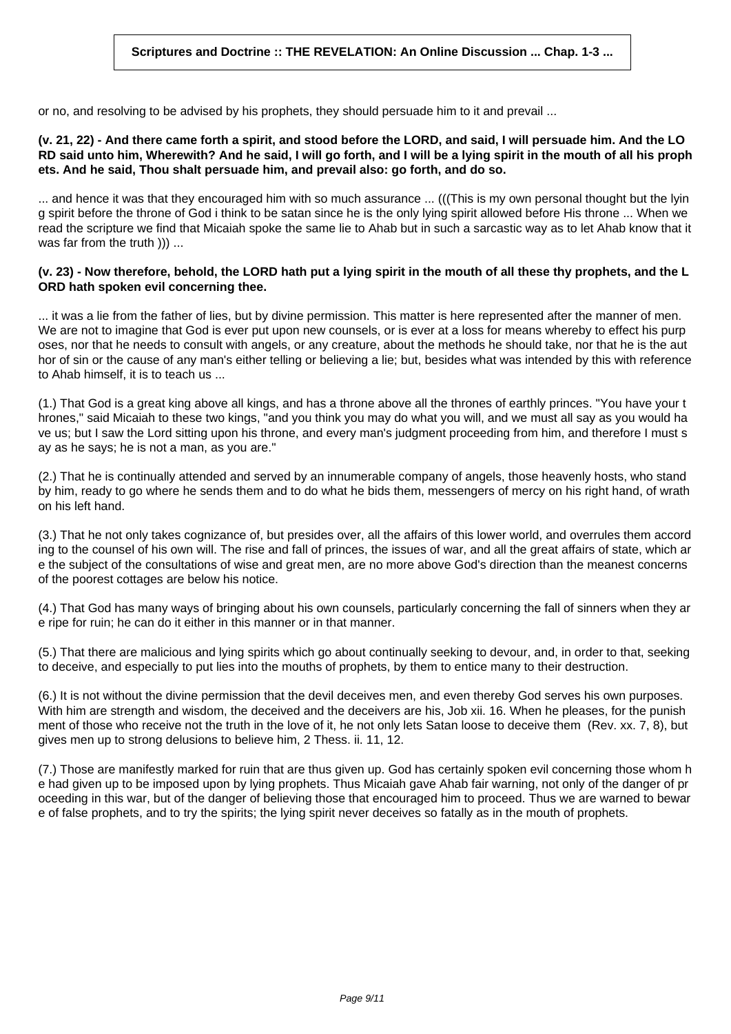or no, and resolving to be advised by his prophets, they should persuade him to it and prevail ...

## (v. 21, 22) - And there came forth a spirit, and stood before the LORD, and said, I will persuade him. And the LO RD said unto him, Wherewith? And he said, I will go forth, and I will be a lying spirit in the mouth of all his proph **ets. And he said, Thou shalt persuade him, and prevail also: go forth, and do so.**

... and hence it was that they encouraged him with so much assurance ... (((This is my own personal thought but the lyin g spirit before the throne of God i think to be satan since he is the only lying spirit allowed before His throne ... When we read the scripture we find that Micaiah spoke the same lie to Ahab but in such a sarcastic way as to let Ahab know that it was far from the truth ))) ...

# (v. 23) - Now therefore, behold, the LORD hath put a lying spirit in the mouth of all these thy prophets, and the L **ORD hath spoken evil concerning thee.**

... it was a lie from the father of lies, but by divine permission. This matter is here represented after the manner of men. We are not to imagine that God is ever put upon new counsels, or is ever at a loss for means whereby to effect his purp oses, nor that he needs to consult with angels, or any creature, about the methods he should take, nor that he is the aut hor of sin or the cause of any man's either telling or believing a lie; but, besides what was intended by this with reference to Ahab himself, it is to teach us ...

(1.) That God is a great king above all kings, and has a throne above all the thrones of earthly princes. "You have your t hrones," said Micaiah to these two kings, "and you think you may do what you will, and we must all say as you would ha ve us; but I saw the Lord sitting upon his throne, and every man's judgment proceeding from him, and therefore I must s ay as he says; he is not a man, as you are."

(2.) That he is continually attended and served by an innumerable company of angels, those heavenly hosts, who stand by him, ready to go where he sends them and to do what he bids them, messengers of mercy on his right hand, of wrath on his left hand.

(3.) That he not only takes cognizance of, but presides over, all the affairs of this lower world, and overrules them accord ing to the counsel of his own will. The rise and fall of princes, the issues of war, and all the great affairs of state, which ar e the subject of the consultations of wise and great men, are no more above God's direction than the meanest concerns of the poorest cottages are below his notice.

(4.) That God has many ways of bringing about his own counsels, particularly concerning the fall of sinners when they ar e ripe for ruin; he can do it either in this manner or in that manner.

(5.) That there are malicious and lying spirits which go about continually seeking to devour, and, in order to that, seeking to deceive, and especially to put lies into the mouths of prophets, by them to entice many to their destruction.

(6.) It is not without the divine permission that the devil deceives men, and even thereby God serves his own purposes. With him are strength and wisdom, the deceived and the deceivers are his, Job xii, 16. When he pleases, for the punish ment of those who receive not the truth in the love of it, he not only lets Satan loose to deceive them (Rev. xx. 7, 8), but gives men up to strong delusions to believe him, 2 Thess. ii. 11, 12.

(7.) Those are manifestly marked for ruin that are thus given up. God has certainly spoken evil concerning those whom h e had given up to be imposed upon by lying prophets. Thus Micaiah gave Ahab fair warning, not only of the danger of pr oceeding in this war, but of the danger of believing those that encouraged him to proceed. Thus we are warned to bewar e of false prophets, and to try the spirits; the lying spirit never deceives so fatally as in the mouth of prophets.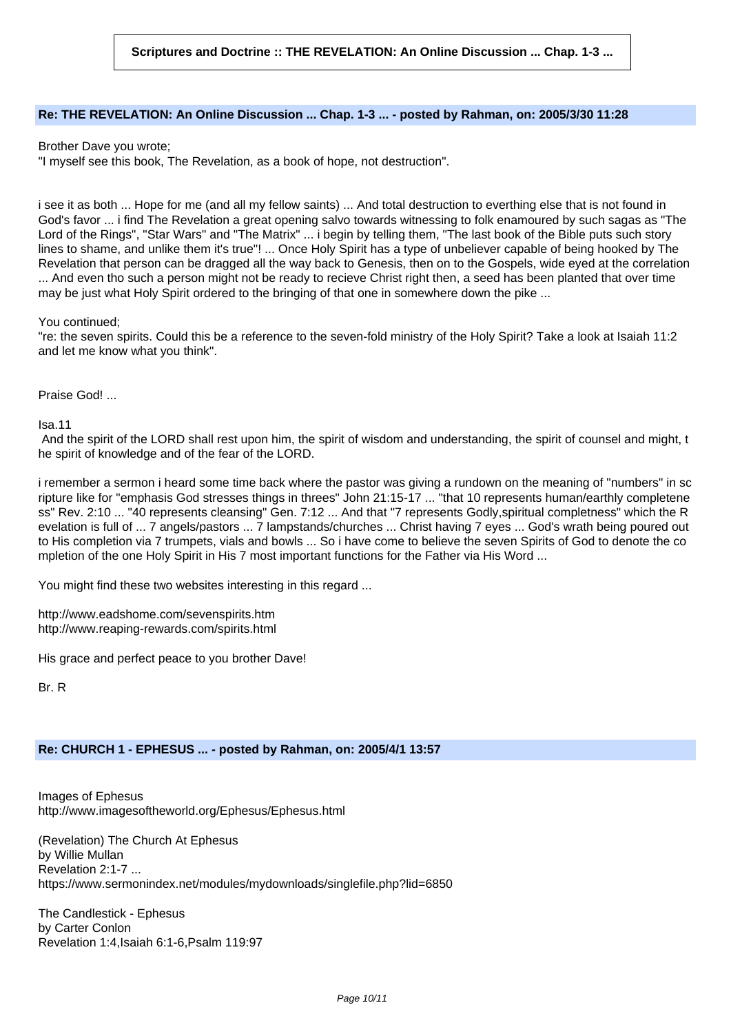**Re: THE REVELATION: An Online Discussion ... Chap. 1-3 ... - posted by Rahman, on: 2005/3/30 11:28**

Brother Dave you wrote;

"I myself see this book, The Revelation, as a book of hope, not destruction".

i see it as both ... Hope for me (and all my fellow saints) ... And total destruction to everthing else that is not found in God's favor ... i find The Revelation a great opening salvo towards witnessing to folk enamoured by such sagas as "The Lord of the Rings", "Star Wars" and "The Matrix" ... i begin by telling them, "The last book of the Bible puts such story lines to shame, and unlike them it's true"! ... Once Holy Spirit has a type of unbeliever capable of being hooked by The Revelation that person can be dragged all the way back to Genesis, then on to the Gospels, wide eyed at the correlation ... And even tho such a person might not be ready to recieve Christ right then, a seed has been planted that over time may be just what Holy Spirit ordered to the bringing of that one in somewhere down the pike ...

You continued;

"re: the seven spirits. Could this be a reference to the seven-fold ministry of the Holy Spirit? Take a look at Isaiah 11:2 and let me know what you think".

Praise God! ...

Isa.11

And the spirit of the LORD shall rest upon him, the spirit of wisdom and understanding, the spirit of counsel and might, t he spirit of knowledge and of the fear of the LORD.

i remember a sermon i heard some time back where the pastor was giving a rundown on the meaning of "numbers" in sc ripture like for "emphasis God stresses things in threes" John 21:15-17 ... "that 10 represents human/earthly completene ss" Rev. 2:10 ... "40 represents cleansing" Gen. 7:12 ... And that "7 represents Godly,spiritual completness" which the R evelation is full of ... 7 angels/pastors ... 7 lampstands/churches ... Christ having 7 eyes ... God's wrath being poured out to His completion via 7 trumpets, vials and bowls ... So i have come to believe the seven Spirits of God to denote the co mpletion of the one Holy Spirit in His 7 most important functions for the Father via His Word ...

You might find these two websites interesting in this regard ...

http://www.eadshome.com/sevenspirits.htm http://www.reaping-rewards.com/spirits.html

His grace and perfect peace to you brother Dave!

Br. R

#### **Re: CHURCH 1 - EPHESUS ... - posted by Rahman, on: 2005/4/1 13:57**

Images of Ephesus http://www.imagesoftheworld.org/Ephesus/Ephesus.html

(Revelation) The Church At Ephesus by Willie Mullan Revelation 2:1-7 ... https://www.sermonindex.net/modules/mydownloads/singlefile.php?lid=6850

The Candlestick - Ephesus by Carter Conlon Revelation 1:4,Isaiah 6:1-6,Psalm 119:97